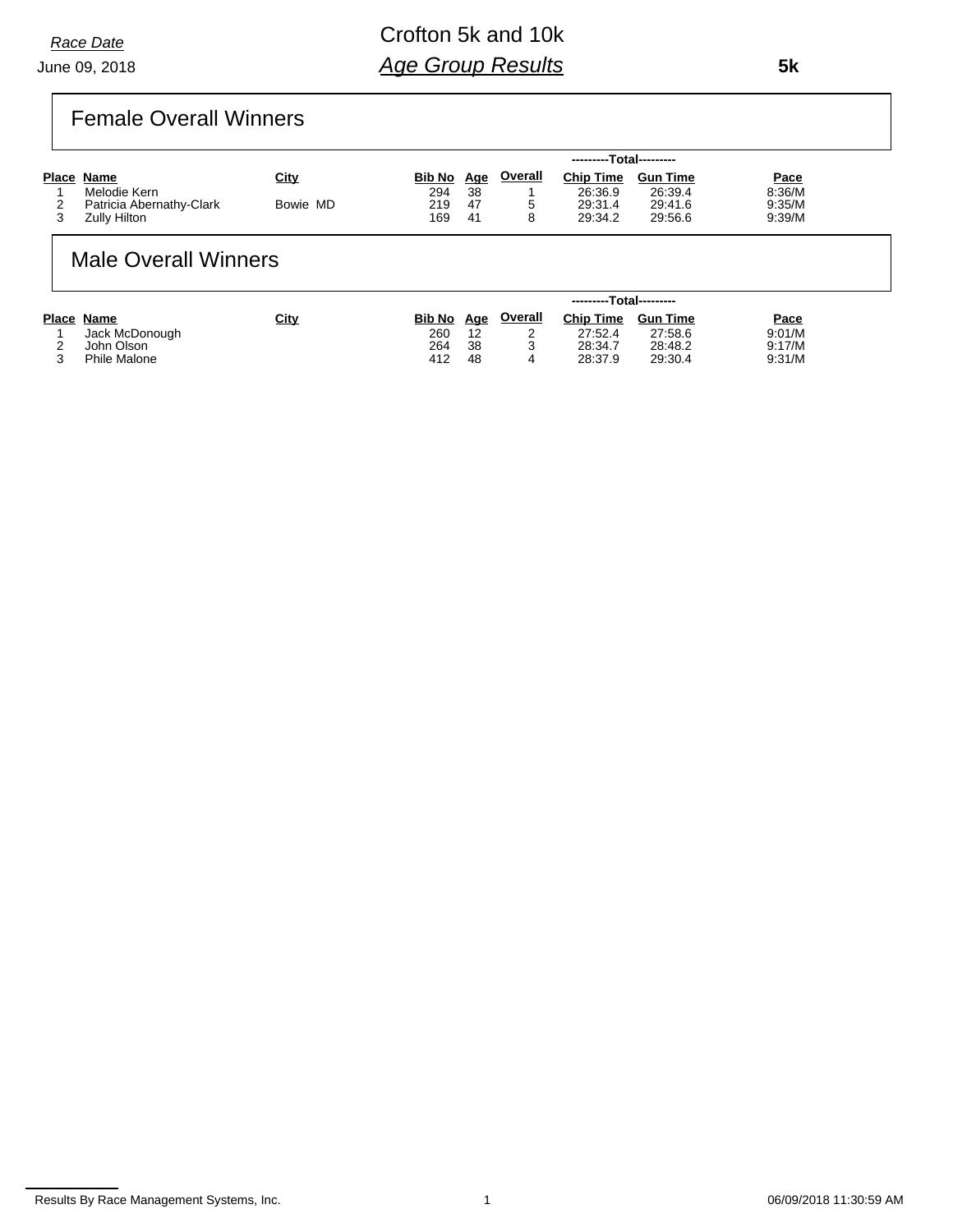June 09, 2018 *Race Date*

## Crofton 5k and 10k *Age Group Results*

### Female Overall Winners

|                          |             |               |            |         | ---------Total--------- |                 |             |
|--------------------------|-------------|---------------|------------|---------|-------------------------|-----------------|-------------|
| Place Name               | <u>City</u> | <b>Bib No</b> | <u>Age</u> | Overall | <b>Chip Time</b>        | <b>Gun Time</b> | <u>Pace</u> |
| Melodie Kern             |             | 294           | 38         |         | 26:36.9                 | 26:39.4         | 8:36/M      |
| Patricia Abernathy-Clark | Bowie MD    | 219           | 47         | ∽       | 29:31.4                 | 29:41.6         | 9:35/M      |
| Zully Hilton             |             | 169           | 41         |         | 29:34.2                 | 29:56.6         | 9:39/M      |

### Male Overall Winners

|   |                | ---------Total--------- |               |     |         |                  |                 |             |
|---|----------------|-------------------------|---------------|-----|---------|------------------|-----------------|-------------|
|   | Place Name     | City                    | <b>Bib No</b> | Age | Overall | <b>Chip Time</b> | <b>Gun Time</b> | <u>Pace</u> |
|   | Jack McDonough |                         | 260           | 12  |         | 27:52.4          | 27:58.6         | 9:01/M      |
|   | John Olson     |                         | 264           | 38  | ت       | 28:34.7          | 28:48.2         | 9:17/M      |
| ⌒ | Phile Malone   |                         | 412           | 48  | 4       | 28:37.9          | 29:30.4         | 9:31/M      |

 **5k**

Results By Race Management Systems, Inc. 1 06/09/2018 11:30:59 AM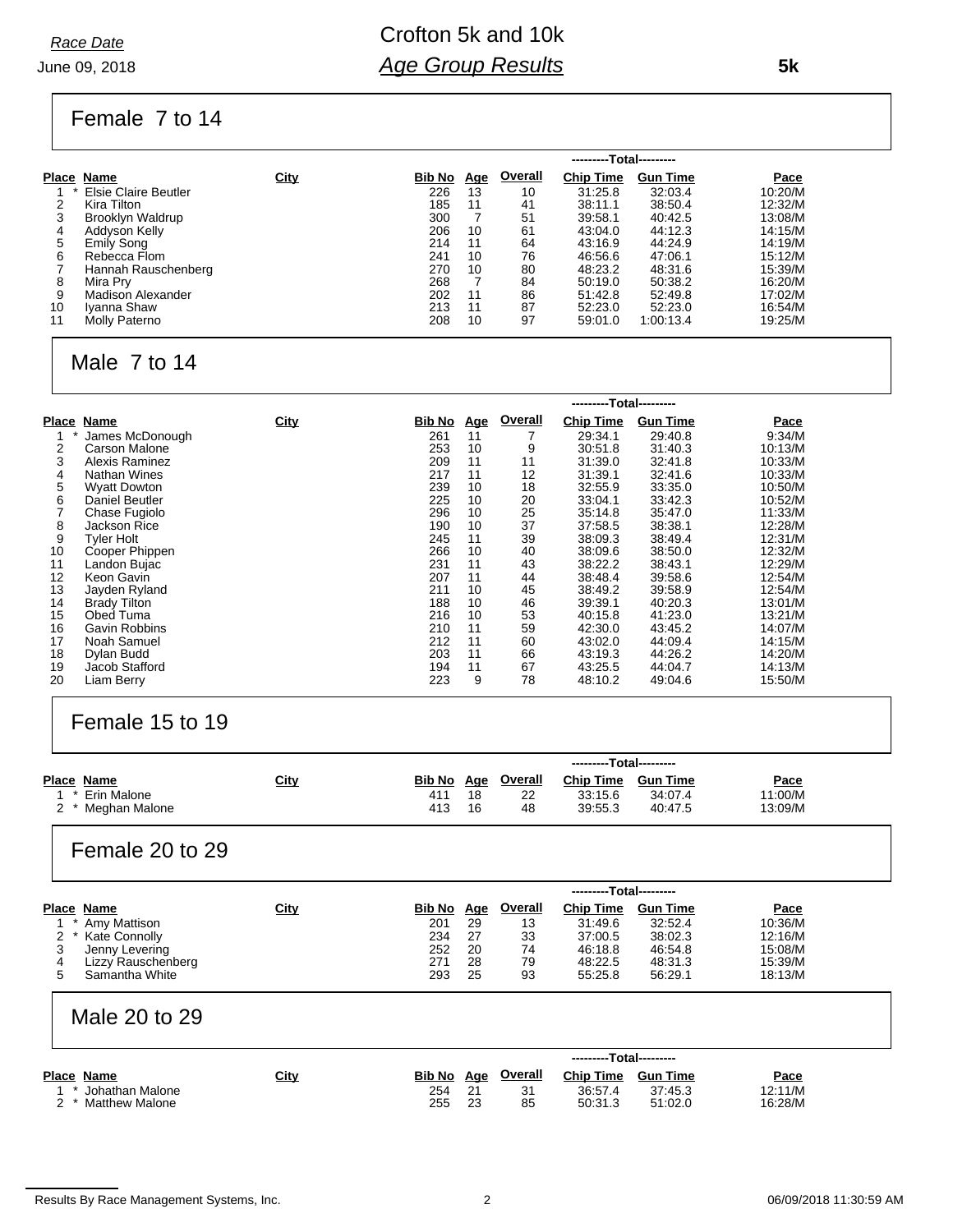June 09, 2018 *Race Date*

## Crofton 5k and 10k *Age Group Results*

Female 7 to 14

|    |                         |             |               |            |         | ---------Total--------- |                 |         |
|----|-------------------------|-------------|---------------|------------|---------|-------------------------|-----------------|---------|
|    | Place Name              | <b>City</b> | <b>Bib No</b> | <u>Age</u> | Overall | <b>Chip Time</b>        | <b>Gun Time</b> | Pace    |
|    | Elsie Claire Beutler    |             | 226           | 13         | 10      | 31:25.8                 | 32:03.4         | 10:20/M |
|    | Kira Tilton             |             | 185           | 11         | 41      | 38:11.1                 | 38:50.4         | 12:32/M |
|    | <b>Brooklyn Waldrup</b> |             | 300           |            | 51      | 39:58.1                 | 40:42.5         | 13:08/M |
| 4  | Addyson Kelly           |             | 206           | 10         | 61      | 43:04.0                 | 44:12.3         | 14:15/M |
| 5  | <b>Emily Song</b>       |             | 214           | 11         | 64      | 43:16.9                 | 44:24.9         | 14:19/M |
| 6  | Rebecca Flom            |             | 241           | 10         | 76      | 46:56.6                 | 47:06.1         | 15:12/M |
|    | Hannah Rauschenberg     |             | 270           | 10         | 80      | 48.23.2                 | 48:31.6         | 15:39/M |
| 8  | Mira Prv                |             | 268           |            | 84      | 50.19.0                 | 50:38.2         | 16:20/M |
| 9  | Madison Alexander       |             | 202           | 11         | 86      | 51:42.8                 | 52:49.8         | 17:02/M |
| 10 | Iyanna Shaw             |             | 213           | 11         | 87      | 52:23.0                 | 52:23.0         | 16:54/M |
| 11 | Molly Paterno           |             | 208           | 10         | 97      | 59:01.0                 | 1:00:13.4       | 19:25/M |

### Male 7 to 14

|              |                     |             |        | ---------Total--------- |         |                  |                 |             |  |
|--------------|---------------------|-------------|--------|-------------------------|---------|------------------|-----------------|-------------|--|
| <b>Place</b> | Name                | <b>City</b> | Bib No | <u>Age</u>              | Overall | <b>Chip Time</b> | <b>Gun Time</b> | <b>Pace</b> |  |
|              | James McDonough     |             | 261    | 11                      |         | 29:34.1          | 29:40.8         | 9:34/M      |  |
| 2            | Carson Malone       |             | 253    | 10                      | 9       | 30:51.8          | 31:40.3         | 10:13/M     |  |
| 3            | Alexis Raminez      |             | 209    | 11                      | 11      | 31:39.0          | 32:41.8         | 10:33/M     |  |
| 4            | Nathan Wines        |             | 217    | 11                      | 12      | 31:39.1          | 32:41.6         | 10:33/M     |  |
| 5            | <b>Wyatt Dowton</b> |             | 239    | 10                      | 18      | 32:55.9          | 33:35.0         | 10:50/M     |  |
| 6            | Daniel Beutler      |             | 225    | 10                      | 20      | 33:04.1          | 33:42.3         | 10:52/M     |  |
|              | Chase Fugiolo       |             | 296    | 10                      | 25      | 35:14.8          | 35:47.0         | 11:33/M     |  |
| 8            | Jackson Rice        |             | 190    | 10                      | 37      | 37:58.5          | 38:38.1         | 12:28/M     |  |
| 9            | <b>Tyler Holt</b>   |             | 245    | 11                      | 39      | 38:09.3          | 38:49.4         | 12:31/M     |  |
| 10           | Cooper Phippen      |             | 266    | 10                      | 40      | 38.09.6          | 38:50.0         | 12:32/M     |  |
| 11           | Landon Bujac        |             | 231    | 11                      | 43      | 38:22.2          | 38:43.1         | 12:29/M     |  |
| 12           | Keon Gavin          |             | 207    | 11                      | 44      | 38:48.4          | 39:58.6         | 12:54/M     |  |
| 13           | Jayden Ryland       |             | 211    | 10                      | 45      | 38:49.2          | 39.58.9         | 12:54/M     |  |
| 14           | <b>Brady Tilton</b> |             | 188    | 10                      | 46      | 39:39.1          | 40:20.3         | 13:01/M     |  |
| 15           | Obed Tuma           |             | 216    | 10                      | 53      | 40:15.8          | 41:23.0         | 13:21/M     |  |
| 16           | Gavin Robbins       |             | 210    | 11                      | 59      | 42:30.0          | 43:45.2         | 14:07/M     |  |
| 17           | Noah Samuel         |             | 212    | 11                      | 60      | 43:02.0          | 44:09.4         | 14:15/M     |  |
| 18           | Dylan Budd          |             | 203    | 11                      | 66      | 43:19.3          | 44:26.2         | 14:20/M     |  |
| 19           | Jacob Stafford      |             | 194    | 11                      | 67      | 43:25.5          | 44:04.7         | 14:13/M     |  |
| 20           | Liam Berry          |             | 223    | 9                       | 78      | 48:10.2          | 49:04.6         | 15:50/M     |  |

### Female 15 to 19

|                                |                                                                                         |             |                                           |                                          |                                              | ---------Total---------                                                 |                                                                        |                                                             |
|--------------------------------|-----------------------------------------------------------------------------------------|-------------|-------------------------------------------|------------------------------------------|----------------------------------------------|-------------------------------------------------------------------------|------------------------------------------------------------------------|-------------------------------------------------------------|
| Place Name<br>2                | Erin Malone<br>Meghan Malone                                                            | <u>City</u> | Bib No<br>411<br>413                      | <u>Age</u><br>18<br>16                   | <b>Overall</b><br>22<br>48                   | <b>Chip Time</b><br>33:15.6<br>39:55.3                                  | <b>Gun Time</b><br>34:07.4<br>40:47.5                                  | Pace<br>11:00/M<br>13:09/M                                  |
|                                | Female 20 to 29                                                                         |             |                                           |                                          |                                              | ---------Total---------                                                 |                                                                        |                                                             |
| Place Name<br>2<br>3<br>4<br>5 | Amy Mattison<br>Kate Connolly<br>Jenny Levering<br>Lizzy Rauschenberg<br>Samantha White | <u>City</u> | Bib No<br>201<br>234<br>252<br>271<br>293 | <u>Age</u><br>29<br>27<br>20<br>28<br>25 | <b>Overall</b><br>13<br>33<br>74<br>79<br>93 | <b>Chip Time</b><br>31:49.6<br>37:00.5<br>46:18.8<br>48:22.5<br>55:25.8 | <b>Gun Time</b><br>32:52.4<br>38:02.3<br>46:54.8<br>48:31.3<br>56:29.1 | Pace<br>10:36/M<br>12:16/M<br>15:08/M<br>15:39/M<br>18:13/M |

#### Male 20 to 29

|                                       |             |               | ---------Total--------- |          |                    |                    |                    |
|---------------------------------------|-------------|---------------|-------------------------|----------|--------------------|--------------------|--------------------|
| Place Name                            | <u>City</u> | <b>Bib No</b> | Age                     | Overall  | <b>Chip Time</b>   | <b>Gun Time</b>    | <b>Pace</b>        |
| Johathan Malone<br>2 * Matthew Malone |             | 254<br>255    | 21<br>23                | 31<br>85 | 36:57.4<br>50:31.3 | 37:45.3<br>51:02.0 | 12:11/M<br>16:28/M |

 **5k**

Results By Race Management Systems, Inc. 2 06/09/2018 11:30:59 AM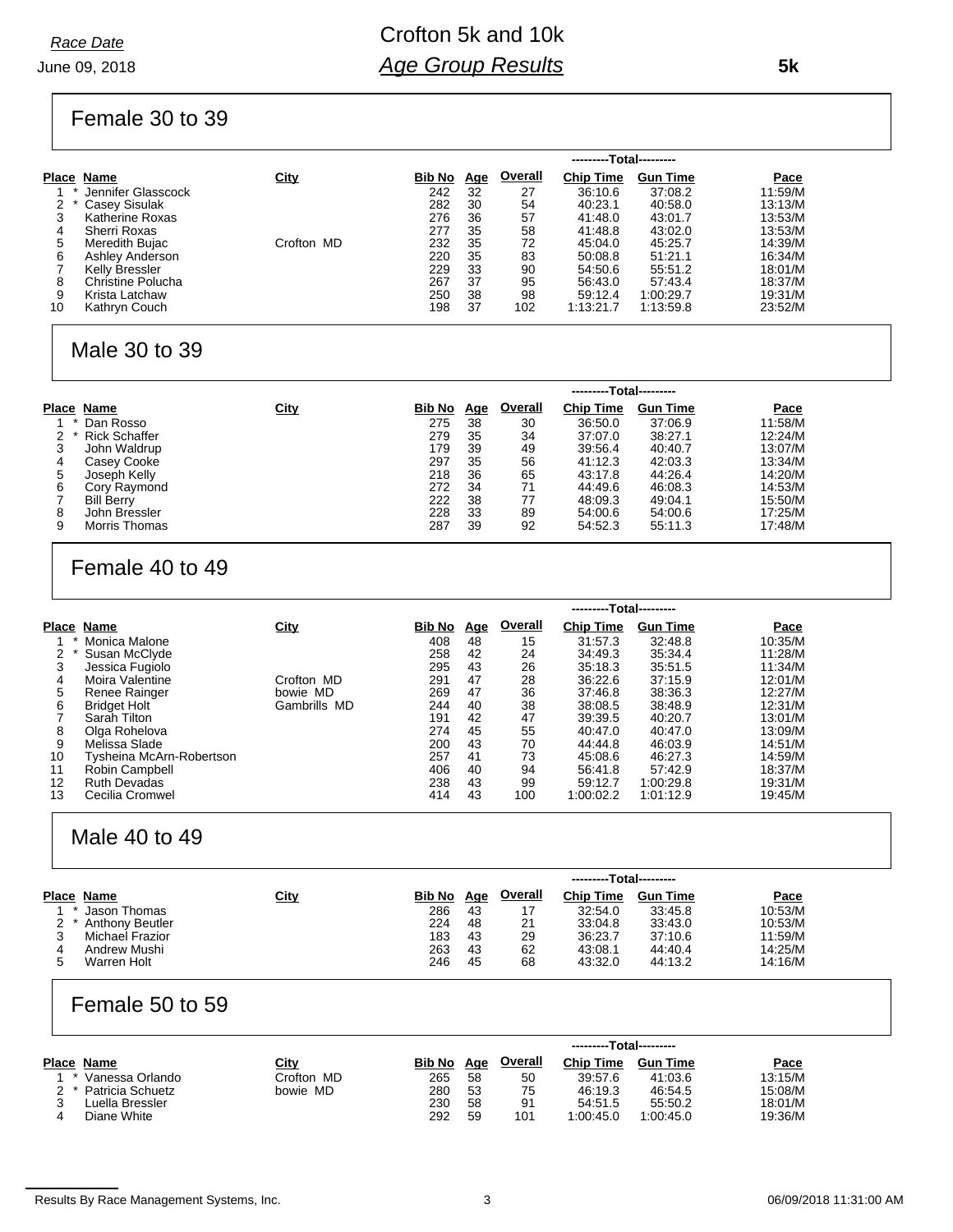June 09, 2018 *Race Date*

## Crofton 5k and 10k *Age Group Results*

Female 30 to 39

|    |                      |             |               |            |                | ---------Total--------- |                 |             |
|----|----------------------|-------------|---------------|------------|----------------|-------------------------|-----------------|-------------|
|    | Place Name           | <u>City</u> | <b>Bib No</b> | <u>Age</u> | <b>Overall</b> | <b>Chip Time</b>        | <b>Gun Time</b> | <b>Pace</b> |
|    | Jennifer Glasscock   |             | 242           | 32         | 27             | 36:10.6                 | 37:08.2         | 11:59/M     |
|    | <b>Casey Sisulak</b> |             | 282           | 30         | 54             | 40:23.1                 | 40.58.0         | 13:13/M     |
| 3  | Katherine Roxas      |             | 276           | 36         | 57             | 41:48.0                 | 43:01.7         | 13:53/M     |
| 4  | Sherri Roxas         |             | 277           | 35         | 58             | 41:48.8                 | 43:02.0         | 13:53/M     |
| 5  | Meredith Bujac       | Crofton MD  | 232           | 35         | 72             | 45:04.0                 | 45:25.7         | 14:39/M     |
| 6  | Ashley Anderson      |             | 220           | 35         | 83             | 50:08.8                 | 51:21.1         | 16:34/M     |
|    | Kelly Bressler       |             | 229           | 33         | 90             | 54:50.6                 | 55:51.2         | 18:01/M     |
| 8  | Christine Polucha    |             | 267           | 37         | 95             | 56:43.0                 | 57:43.4         | 18:37/M     |
| 9  | Krista Latchaw       |             | 250           | 38         | 98             | 59:12.4                 | 1:00:29.7       | 19:31/M     |
| 10 | Kathryn Couch        |             | 198           | 37         | 102            | 1:13:21.7               | 1.13:59.8       | 23:52/M     |

#### Male 30 to 39

|   |                      |             |               |            |                |                  | ---------Total--------- |             |  |
|---|----------------------|-------------|---------------|------------|----------------|------------------|-------------------------|-------------|--|
|   | Place Name           | <b>City</b> | <u>Bib No</u> | <u>Age</u> | <b>Overall</b> | <b>Chip Time</b> | <b>Gun Time</b>         | <b>Pace</b> |  |
|   | Dan Rosso            |             | 275           | 38         | 30             | 36:50.0          | 37:06.9                 | 11:58/M     |  |
| 2 | <b>Rick Schaffer</b> |             | 279           | 35         | 34             | 37:07.0          | 38:27.1                 | 12:24/M     |  |
|   | John Waldrup         |             | 179           | 39         | 49             | 39:56.4          | 40:40.7                 | 13:07/M     |  |
| 4 | Casey Cooke          |             | 297           | 35         | 56             | 41:12.3          | 42:03.3                 | 13:34/M     |  |
| 5 | Joseph Kelly         |             | 218           | 36         | 65             | 43:17.8          | 44:26.4                 | 14:20/M     |  |
| 6 | Cory Raymond         |             | 272           | 34         | 71             | 44:49.6          | 46:08.3                 | 14:53/M     |  |
|   | <b>Bill Berry</b>    |             | 222           | 38         | 77             | 48:09.3          | 49:04.1                 | 15:50/M     |  |
| 8 | John Bressler        |             | 228           | 33         | 89             | 54:00.6          | 54:00.6                 | 17:25/M     |  |
| 9 | Morris Thomas        |             | 287           | 39         | 92             | 54:52.3          | 55:11.3                 | 17:48/M     |  |

### Female 40 to 49

|       |                          |              | --Total--------- |            |         |                  |                 |         |
|-------|--------------------------|--------------|------------------|------------|---------|------------------|-----------------|---------|
| Place | Name                     | <u>City</u>  | <b>Bib No</b>    | <u>Age</u> | Overall | <b>Chip Time</b> | <b>Gun Time</b> | Pace    |
|       | Monica Malone            |              | 408              | 48         | 15      | 31:57.3          | 32:48.8         | 10:35/M |
|       | Susan McClyde            |              | 258              | 42         | 24      | 34:49.3          | 35:34.4         | 11:28/M |
| 3     | Jessica Fugiolo          |              | 295              | 43         | 26      | 35:18.3          | 35:51.5         | 11:34/M |
| 4     | Moira Valentine          | Crofton MD   | 291              | 47         | 28      | 36:22.6          | 37:15.9         | 12:01/M |
| 5     | Renee Rainger            | bowie MD     | 269              | 47         | 36      | 37:46.8          | 38:36.3         | 12:27/M |
| 6     | <b>Bridget Holt</b>      | Gambrills MD | 244              | 40         | 38      | 38:08.5          | 38:48.9         | 12:31/M |
|       | Sarah Tilton             |              | 191              | 42         | 47      | 39:39.5          | 40:20.7         | 13:01/M |
| 8     | Olga Rohelova            |              | 274              | 45         | 55      | 40:47.0          | 40:47.0         | 13:09/M |
| 9     | Melissa Slade            |              | 200              | 43         | 70      | 44:44.8          | 46:03.9         | 14:51/M |
| 10    | Tysheina McArn-Robertson |              | 257              | 41         | 73      | 45:08.6          | 46:27.3         | 14:59/M |
| 11    | Robin Campbell           |              | 406              | 40         | 94      | 56:41.8          | 57:42.9         | 18:37/M |
| 12    | <b>Ruth Devadas</b>      |              | 238              | 43         | 99      | 59:12.7          | 1:00:29.8       | 19:31/M |
| 13    | Cecilia Cromwel          |              | 414              | 43         | 100     | 1:00:02.2        | 1:01:12.9       | 19:45/M |

### Male 40 to 49

|                        |             |        | ---------Total--------- |                |                  |                 |             |  |
|------------------------|-------------|--------|-------------------------|----------------|------------------|-----------------|-------------|--|
| Place Name             | <u>City</u> | Bib No | <u>Age</u>              | <b>Overall</b> | <b>Chip Time</b> | <b>Gun Time</b> | <b>Pace</b> |  |
| Jason Thomas           |             | 286    | 43                      | 17             | 32:54.0          | 33:45.8         | 10:53/M     |  |
| <b>Anthony Beutler</b> |             | 224    | 48                      | 21             | 33:04.8          | 33:43.0         | 10:53/M     |  |
| Michael Frazior        |             | 183    | 43                      | 29             | 36:23.7          | 37:10.6         | 11:59/M     |  |
| Andrew Mushi           |             | 263    | 43                      | 62             | 43:08.1          | 44:40.4         | 14:25/M     |  |
| Warren Holt            |             | 246    | 45                      | 68             | 43:32.0          | 44:13.2         | 14:16/M     |  |
|                        |             |        |                         |                |                  |                 |             |  |

### Female 50 to 59

| Place Name           | City       | Bib No | Age | <b>Overall</b> | <b>Chip Time</b> | <b>Gun Time</b> | Pace    |
|----------------------|------------|--------|-----|----------------|------------------|-----------------|---------|
| * Vanessa Orlando    | Crofton MD | 265    | 58  | 50             | 39.57.6          | 41:03.6         | 13:15/M |
| 2 * Patricia Schuetz | bowie MD   | 280    | 53  | 75             | 46:19.3          | 46:54.5         | 15:08/M |
| ∟uella Bressler      |            | 230    | 58  | 91             | 54:51.5          | 55:50.2         | 18:01/M |
| Diane White          |            | 292    | 59  | 101            | 1:00:45.0        | 1:00:45.0       | 19:36/M |

 **5k**